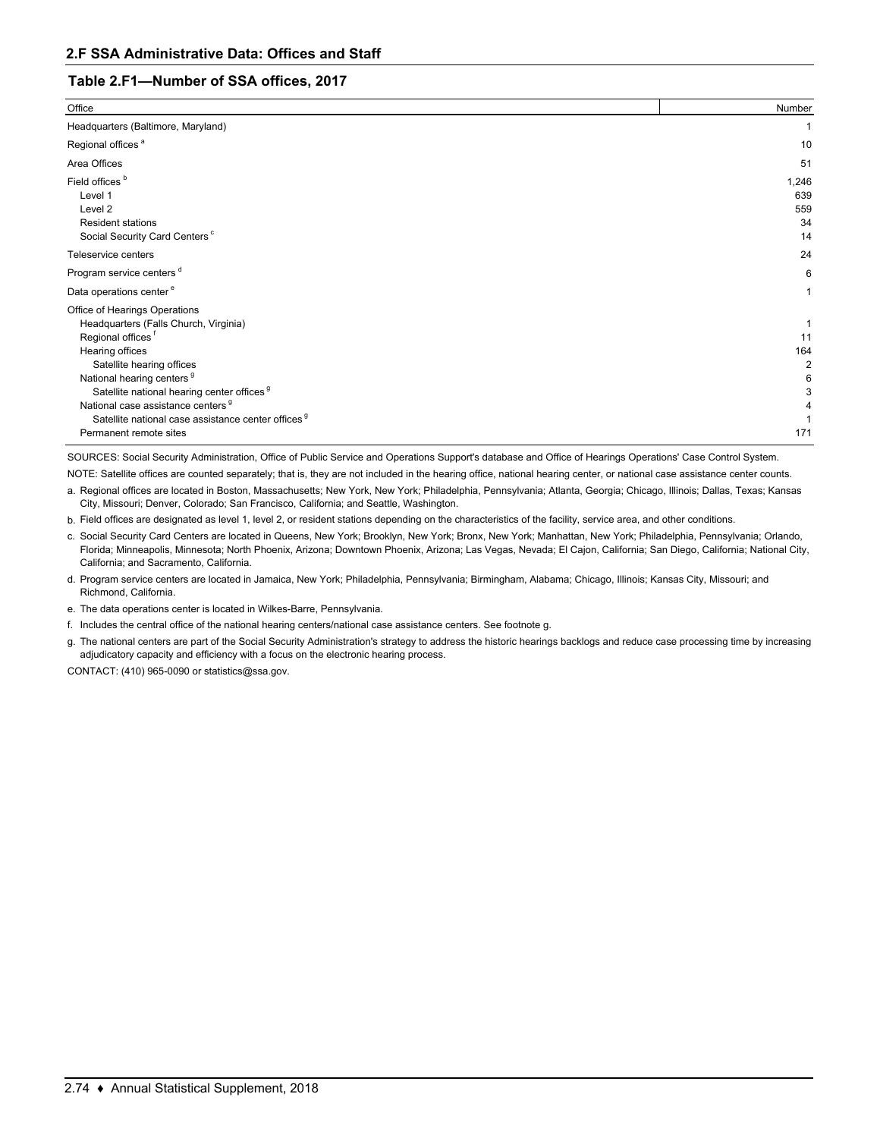## **Table 2.F1—Number of SSA offices, 2017**

| Office                                                                                                                                                                                                                                                                                                                                                                                                  | Number                          |
|---------------------------------------------------------------------------------------------------------------------------------------------------------------------------------------------------------------------------------------------------------------------------------------------------------------------------------------------------------------------------------------------------------|---------------------------------|
| Headquarters (Baltimore, Maryland)                                                                                                                                                                                                                                                                                                                                                                      |                                 |
| Regional offices <sup>a</sup>                                                                                                                                                                                                                                                                                                                                                                           | 10                              |
| Area Offices                                                                                                                                                                                                                                                                                                                                                                                            | 51                              |
| Field offices <sup>b</sup><br>Level 1<br>Level 2<br><b>Resident stations</b><br>Social Security Card Centers <sup>c</sup>                                                                                                                                                                                                                                                                               | 1,246<br>639<br>559<br>34<br>14 |
| Teleservice centers                                                                                                                                                                                                                                                                                                                                                                                     | 24                              |
| Program service centers <sup>d</sup>                                                                                                                                                                                                                                                                                                                                                                    | 6                               |
| Data operations center <sup>e</sup>                                                                                                                                                                                                                                                                                                                                                                     |                                 |
| Office of Hearings Operations<br>Headquarters (Falls Church, Virginia)<br>Regional offices <sup>1</sup><br>Hearing offices<br>Satellite hearing offices<br>National hearing centers <sup>9</sup><br>Satellite national hearing center offices <sup>9</sup><br>National case assistance centers <sup>g</sup><br>Satellite national case assistance center offices <sup>9</sup><br>Permanent remote sites | 11<br>164<br>2<br>171           |

SOURCES: Social Security Administration, Office of Public Service and Operations Support's database and Office of Hearings Operations' Case Control System.

- a. Regional offices are located in Boston, Massachusetts; New York, New York; Philadelphia, Pennsylvania; Atlanta, Georgia; Chicago, Illinois; Dallas, Texas; Kansas City, Missouri; Denver, Colorado; San Francisco, California; and Seattle, Washington. NOTE: Satellite offices are counted separately; that is, they are not included in the hearing office, national hearing center, or national case assistance center counts.
- b. Field offices are designated as level 1, level 2, or resident stations depending on the characteristics of the facility, service area, and other conditions.
- c. Social Security Card Centers are located in Queens, New York; Brooklyn, New York; Bronx, New York; Manhattan, New York; Philadelphia, Pennsylvania; Orlando, Florida; Minneapolis, Minnesota; North Phoenix, Arizona; Downtown Phoenix, Arizona; Las Vegas, Nevada; El Cajon, California; San Diego, California; National City, California; and Sacramento, California.
- d. Program service centers are located in Jamaica, New York; Philadelphia, Pennsylvania; Birmingham, Alabama; Chicago, Illinois; Kansas City, Missouri; and Richmond, California.
- e. The data operations center is located in Wilkes-Barre, Pennsylvania.
- f. Includes the central office of the national hearing centers/national case assistance centers. See footnote g.
- g. The national centers are part of the Social Security Administration's strategy to address the historic hearings backlogs and reduce case processing time by increasing adjudicatory capacity and efficiency with a focus on the electronic hearing process.

CONTACT: (410) 965-0090 or statistics@ssa.gov.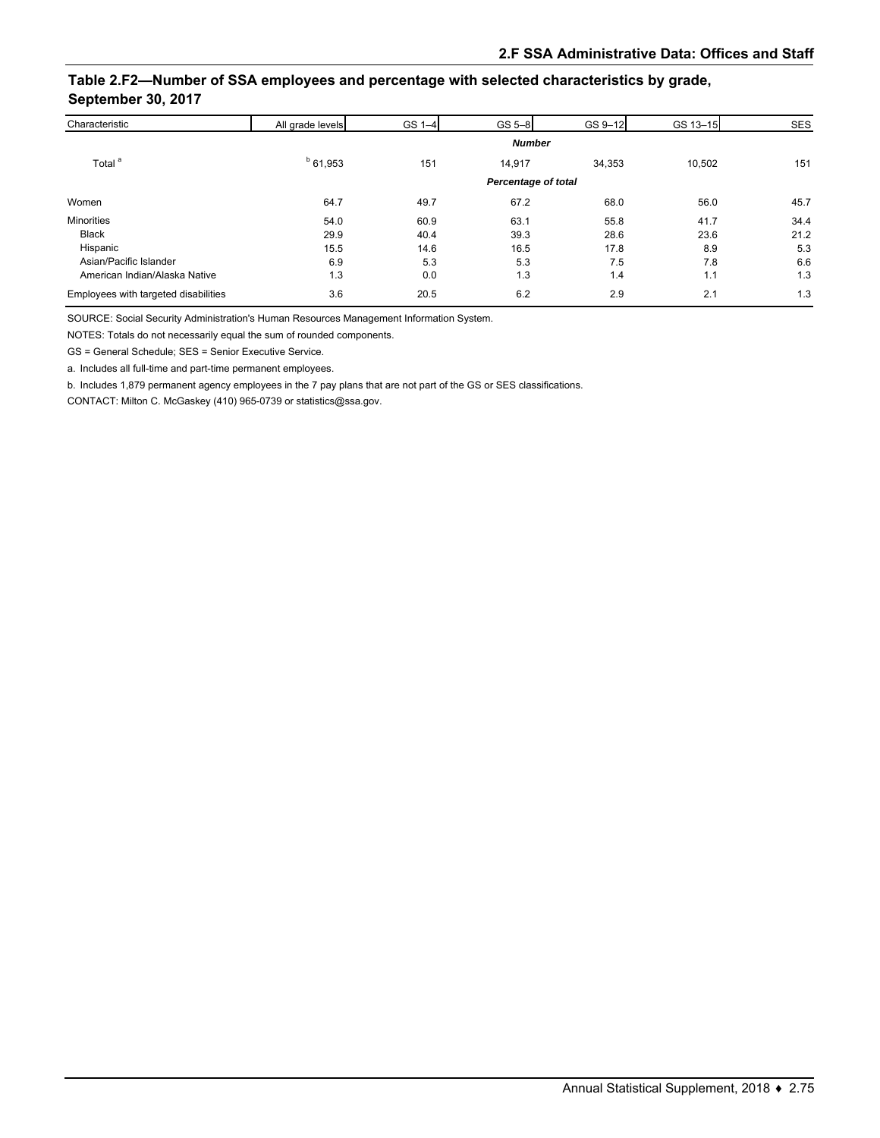## **Table 2.F2—Number of SSA employees and percentage with selected characteristics by grade, September 30, 2017**

| Characteristic                       | All grade levels    | GS 1-4 | $GS-8$ | GS 9-12 | GS 13-15 | <b>SES</b> |
|--------------------------------------|---------------------|--------|--------|---------|----------|------------|
|                                      | <b>Number</b>       |        |        |         |          |            |
| Total <sup>a</sup>                   | $b$ 61,953          | 151    | 14,917 | 34,353  | 10,502   | 151        |
|                                      | Percentage of total |        |        |         |          |            |
| Women                                | 64.7                | 49.7   | 67.2   | 68.0    | 56.0     | 45.7       |
| <b>Minorities</b>                    | 54.0                | 60.9   | 63.1   | 55.8    | 41.7     | 34.4       |
| <b>Black</b>                         | 29.9                | 40.4   | 39.3   | 28.6    | 23.6     | 21.2       |
| Hispanic                             | 15.5                | 14.6   | 16.5   | 17.8    | 8.9      | 5.3        |
| Asian/Pacific Islander               | 6.9                 | 5.3    | 5.3    | 7.5     | 7.8      | 6.6        |
| American Indian/Alaska Native        | 1.3                 | 0.0    | 1.3    | 1.4     | 1.1      | 1.3        |
| Employees with targeted disabilities | 3.6                 | 20.5   | 6.2    | 2.9     | 2.1      | 1.3        |

SOURCE: Social Security Administration's Human Resources Management Information System.

NOTES: Totals do not necessarily equal the sum of rounded components.

GS = General Schedule; SES = Senior Executive Service.

a. Includes all full-time and part-time permanent employees.

b. Includes 1,879 permanent agency employees in the 7 pay plans that are not part of the GS or SES classifications.

CONTACT: Milton C. McGaskey (410) 965-0739 or statistics@ssa.gov.